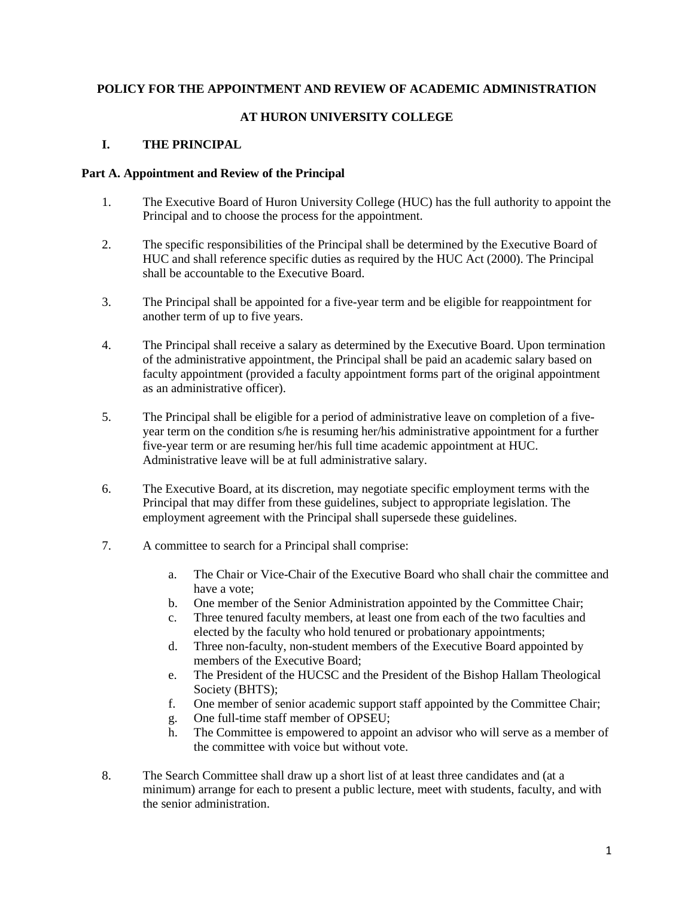### **POLICY FOR THE APPOINTMENT AND REVIEW OF ACADEMIC ADMINISTRATION**

### **AT HURON UNIVERSITY COLLEGE**

## **I. THE PRINCIPAL**

#### **Part A. Appointment and Review of the Principal**

- 1. The Executive Board of Huron University College (HUC) has the full authority to appoint the Principal and to choose the process for the appointment.
- 2. The specific responsibilities of the Principal shall be determined by the Executive Board of HUC and shall reference specific duties as required by the HUC Act (2000). The Principal shall be accountable to the Executive Board.
- 3. The Principal shall be appointed for a five-year term and be eligible for reappointment for another term of up to five years.
- 4. The Principal shall receive a salary as determined by the Executive Board. Upon termination of the administrative appointment, the Principal shall be paid an academic salary based on faculty appointment (provided a faculty appointment forms part of the original appointment as an administrative officer).
- 5. The Principal shall be eligible for a period of administrative leave on completion of a fiveyear term on the condition s/he is resuming her/his administrative appointment for a further five-year term or are resuming her/his full time academic appointment at HUC. Administrative leave will be at full administrative salary.
- 6. The Executive Board, at its discretion, may negotiate specific employment terms with the Principal that may differ from these guidelines, subject to appropriate legislation. The employment agreement with the Principal shall supersede these guidelines.
- 7. A committee to search for a Principal shall comprise:
	- a. The Chair or Vice-Chair of the Executive Board who shall chair the committee and have a vote;
	- b. One member of the Senior Administration appointed by the Committee Chair;
	- c. Three tenured faculty members, at least one from each of the two faculties and elected by the faculty who hold tenured or probationary appointments;
	- d. Three non-faculty, non-student members of the Executive Board appointed by members of the Executive Board;
	- e. The President of the HUCSC and the President of the Bishop Hallam Theological Society (BHTS);
	- f. One member of senior academic support staff appointed by the Committee Chair;
	- g. One full-time staff member of OPSEU;
	- h. The Committee is empowered to appoint an advisor who will serve as a member of the committee with voice but without vote.
- 8. The Search Committee shall draw up a short list of at least three candidates and (at a minimum) arrange for each to present a public lecture, meet with students, faculty, and with the senior administration.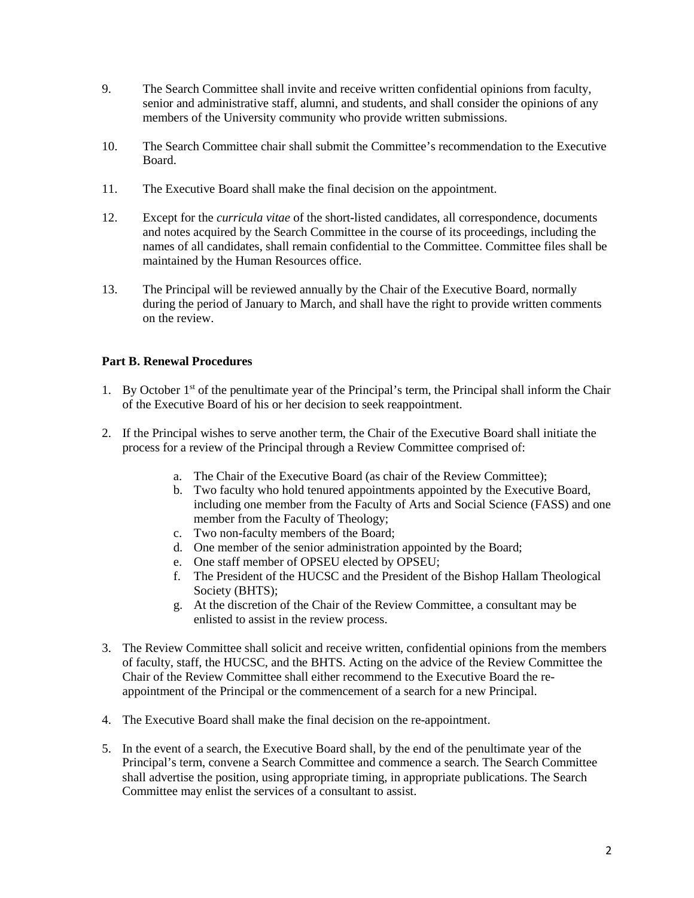- 9. The Search Committee shall invite and receive written confidential opinions from faculty, senior and administrative staff, alumni, and students, and shall consider the opinions of any members of the University community who provide written submissions.
- 10. The Search Committee chair shall submit the Committee's recommendation to the Executive Board.
- 11. The Executive Board shall make the final decision on the appointment.
- 12. Except for the *curricula vitae* of the short-listed candidates, all correspondence, documents and notes acquired by the Search Committee in the course of its proceedings, including the names of all candidates, shall remain confidential to the Committee. Committee files shall be maintained by the Human Resources office.
- 13. The Principal will be reviewed annually by the Chair of the Executive Board, normally during the period of January to March, and shall have the right to provide written comments on the review.

# **Part B. Renewal Procedures**

- 1. By October 1st of the penultimate year of the Principal's term, the Principal shall inform the Chair of the Executive Board of his or her decision to seek reappointment.
- 2. If the Principal wishes to serve another term, the Chair of the Executive Board shall initiate the process for a review of the Principal through a Review Committee comprised of:
	- a. The Chair of the Executive Board (as chair of the Review Committee);
	- b. Two faculty who hold tenured appointments appointed by the Executive Board, including one member from the Faculty of Arts and Social Science (FASS) and one member from the Faculty of Theology;
	- c. Two non-faculty members of the Board;
	- d. One member of the senior administration appointed by the Board;
	- e. One staff member of OPSEU elected by OPSEU;
	- f. The President of the HUCSC and the President of the Bishop Hallam Theological Society (BHTS);
	- g. At the discretion of the Chair of the Review Committee, a consultant may be enlisted to assist in the review process.
- 3. The Review Committee shall solicit and receive written, confidential opinions from the members of faculty, staff, the HUCSC, and the BHTS. Acting on the advice of the Review Committee the Chair of the Review Committee shall either recommend to the Executive Board the reappointment of the Principal or the commencement of a search for a new Principal.
- 4. The Executive Board shall make the final decision on the re-appointment.
- 5. In the event of a search, the Executive Board shall, by the end of the penultimate year of the Principal's term, convene a Search Committee and commence a search. The Search Committee shall advertise the position, using appropriate timing, in appropriate publications. The Search Committee may enlist the services of a consultant to assist.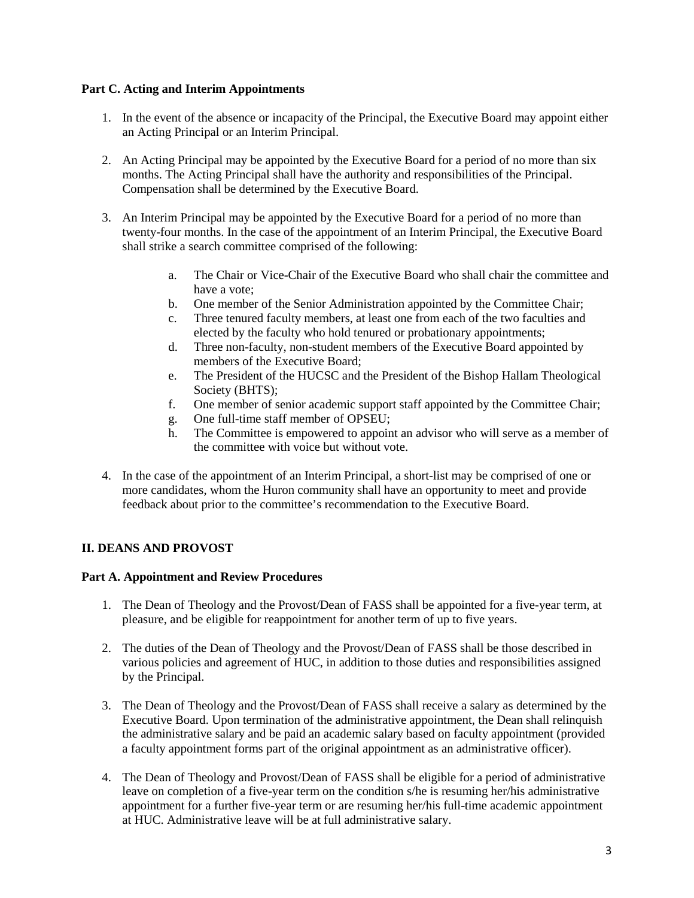### **Part C. Acting and Interim Appointments**

- 1. In the event of the absence or incapacity of the Principal, the Executive Board may appoint either an Acting Principal or an Interim Principal.
- 2. An Acting Principal may be appointed by the Executive Board for a period of no more than six months. The Acting Principal shall have the authority and responsibilities of the Principal. Compensation shall be determined by the Executive Board.
- 3. An Interim Principal may be appointed by the Executive Board for a period of no more than twenty-four months. In the case of the appointment of an Interim Principal, the Executive Board shall strike a search committee comprised of the following:
	- a. The Chair or Vice-Chair of the Executive Board who shall chair the committee and have a vote;
	- b. One member of the Senior Administration appointed by the Committee Chair;
	- c. Three tenured faculty members, at least one from each of the two faculties and elected by the faculty who hold tenured or probationary appointments;
	- d. Three non-faculty, non-student members of the Executive Board appointed by members of the Executive Board;
	- e. The President of the HUCSC and the President of the Bishop Hallam Theological Society (BHTS);
	- f. One member of senior academic support staff appointed by the Committee Chair;
	- g. One full-time staff member of OPSEU;
	- h. The Committee is empowered to appoint an advisor who will serve as a member of the committee with voice but without vote.
- 4. In the case of the appointment of an Interim Principal, a short-list may be comprised of one or more candidates, whom the Huron community shall have an opportunity to meet and provide feedback about prior to the committee's recommendation to the Executive Board.

## **II. DEANS AND PROVOST**

## **Part A. Appointment and Review Procedures**

- 1. The Dean of Theology and the Provost/Dean of FASS shall be appointed for a five-year term, at pleasure, and be eligible for reappointment for another term of up to five years.
- 2. The duties of the Dean of Theology and the Provost/Dean of FASS shall be those described in various policies and agreement of HUC, in addition to those duties and responsibilities assigned by the Principal.
- 3. The Dean of Theology and the Provost/Dean of FASS shall receive a salary as determined by the Executive Board. Upon termination of the administrative appointment, the Dean shall relinquish the administrative salary and be paid an academic salary based on faculty appointment (provided a faculty appointment forms part of the original appointment as an administrative officer).
- 4. The Dean of Theology and Provost/Dean of FASS shall be eligible for a period of administrative leave on completion of a five-year term on the condition s/he is resuming her/his administrative appointment for a further five-year term or are resuming her/his full-time academic appointment at HUC. Administrative leave will be at full administrative salary.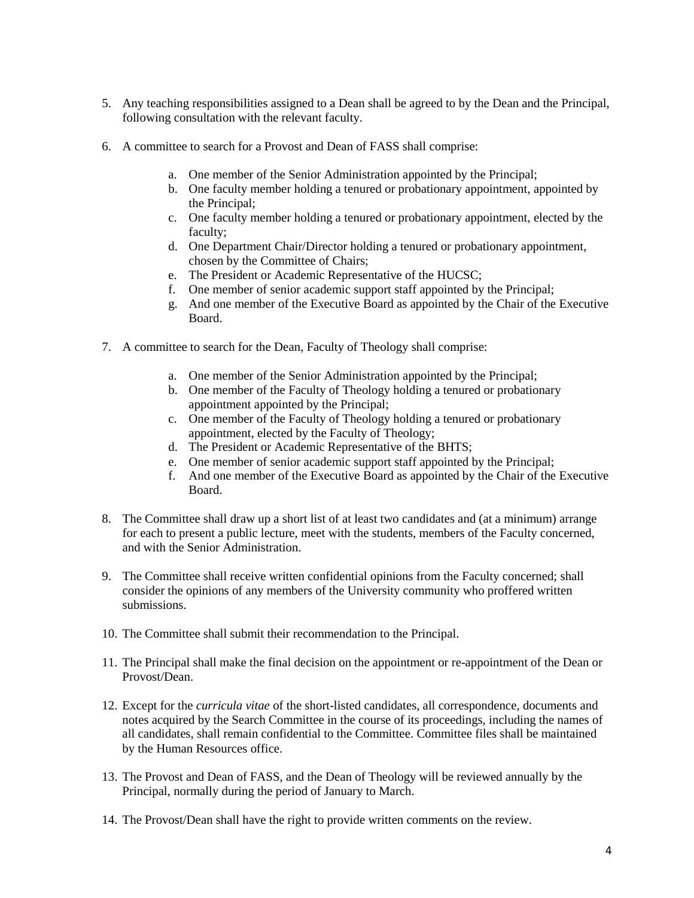- 5. Any teaching responsibilities assigned to a Dean shall be agreed to by the Dean and the Principal, following consultation with the relevant faculty.
- 6. A committee to search for a Provost and Dean of FASS shall comprise:
	- a. One member of the Senior Administration appointed by the Principal;
	- b. One faculty member holding a tenured or probationary appointment, appointed by the Principal;
	- c. One faculty member holding a tenured or probationary appointment, elected by the faculty;
	- d. One Department Chair/Director holding a tenured or probationary appointment, chosen by the Committee of Chairs;
	- e. The President or Academic Representative of the HUCSC;
	- f. One member of senior academic support staff appointed by the Principal;
	- g. And one member of the Executive Board as appointed by the Chair of the Executive Board.
- 7. A committee to search for the Dean, Faculty of Theology shall comprise:
	- a. One member of the Senior Administration appointed by the Principal;
	- b. One member of the Faculty of Theology holding a tenured or probationary appointment appointed by the Principal;
	- c. One member of the Faculty of Theology holding a tenured or probationary appointment, elected by the Faculty of Theology;
	- d. The President or Academic Representative of the BHTS;
	- e. One member of senior academic support staff appointed by the Principal;
	- f. And one member of the Executive Board as appointed by the Chair of the Executive Board.
- 8. The Committee shall draw up a short list of at least two candidates and (at a minimum) arrange for each to present a public lecture, meet with the students, members of the Faculty concerned, and with the Senior Administration.
- 9. The Committee shall receive written confidential opinions from the Faculty concerned; shall consider the opinions of any members of the University community who proffered written submissions.
- 10. The Committee shall submit their recommendation to the Principal.
- 11. The Principal shall make the final decision on the appointment or re-appointment of the Dean or Provost/Dean.
- 12. Except for the *curricula vitae* of the short-listed candidates, all correspondence, documents and notes acquired by the Search Committee in the course of its proceedings, including the names of all candidates, shall remain confidential to the Committee. Committee files shall be maintained by the Human Resources office.
- 13. The Provost and Dean of FASS, and the Dean of Theology will be reviewed annually by the Principal, normally during the period of January to March.
- 14. The Provost/Dean shall have the right to provide written comments on the review.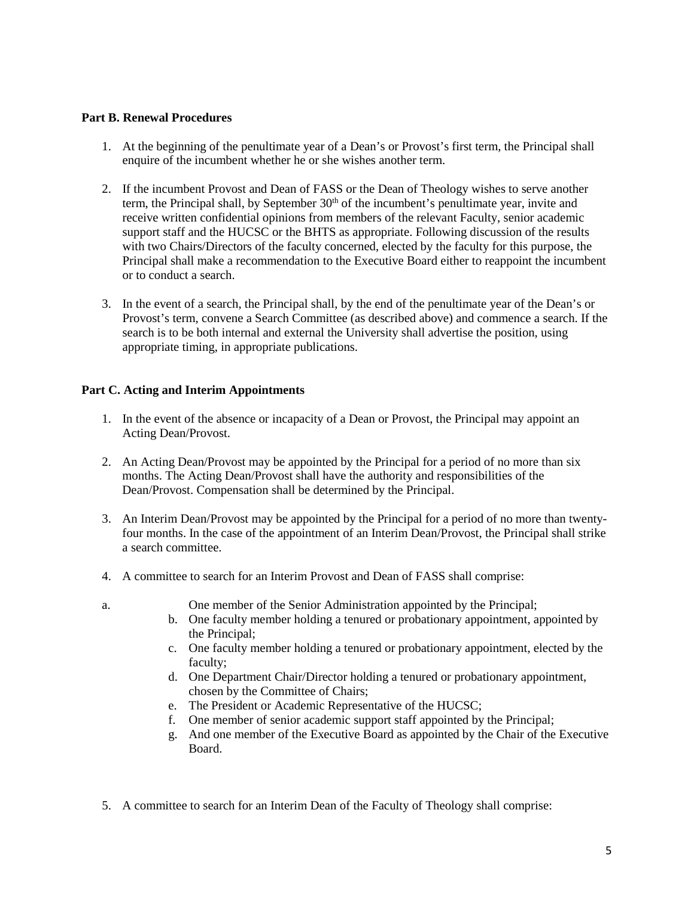#### **Part B. Renewal Procedures**

- 1. At the beginning of the penultimate year of a Dean's or Provost's first term, the Principal shall enquire of the incumbent whether he or she wishes another term.
- 2. If the incumbent Provost and Dean of FASS or the Dean of Theology wishes to serve another term, the Principal shall, by September 30<sup>th</sup> of the incumbent's penultimate year, invite and receive written confidential opinions from members of the relevant Faculty, senior academic support staff and the HUCSC or the BHTS as appropriate. Following discussion of the results with two Chairs/Directors of the faculty concerned, elected by the faculty for this purpose, the Principal shall make a recommendation to the Executive Board either to reappoint the incumbent or to conduct a search.
- 3. In the event of a search, the Principal shall, by the end of the penultimate year of the Dean's or Provost's term, convene a Search Committee (as described above) and commence a search. If the search is to be both internal and external the University shall advertise the position, using appropriate timing, in appropriate publications.

#### **Part C. Acting and Interim Appointments**

- 1. In the event of the absence or incapacity of a Dean or Provost, the Principal may appoint an Acting Dean/Provost.
- 2. An Acting Dean/Provost may be appointed by the Principal for a period of no more than six months. The Acting Dean/Provost shall have the authority and responsibilities of the Dean/Provost. Compensation shall be determined by the Principal.
- 3. An Interim Dean/Provost may be appointed by the Principal for a period of no more than twentyfour months. In the case of the appointment of an Interim Dean/Provost, the Principal shall strike a search committee.
- 4. A committee to search for an Interim Provost and Dean of FASS shall comprise:
- 
- a. One member of the Senior Administration appointed by the Principal;
	- b. One faculty member holding a tenured or probationary appointment, appointed by the Principal;
	- c. One faculty member holding a tenured or probationary appointment, elected by the faculty;
	- d. One Department Chair/Director holding a tenured or probationary appointment, chosen by the Committee of Chairs;
	- e. The President or Academic Representative of the HUCSC;
	- f. One member of senior academic support staff appointed by the Principal;
	- g. And one member of the Executive Board as appointed by the Chair of the Executive Board.
- 5. A committee to search for an Interim Dean of the Faculty of Theology shall comprise: